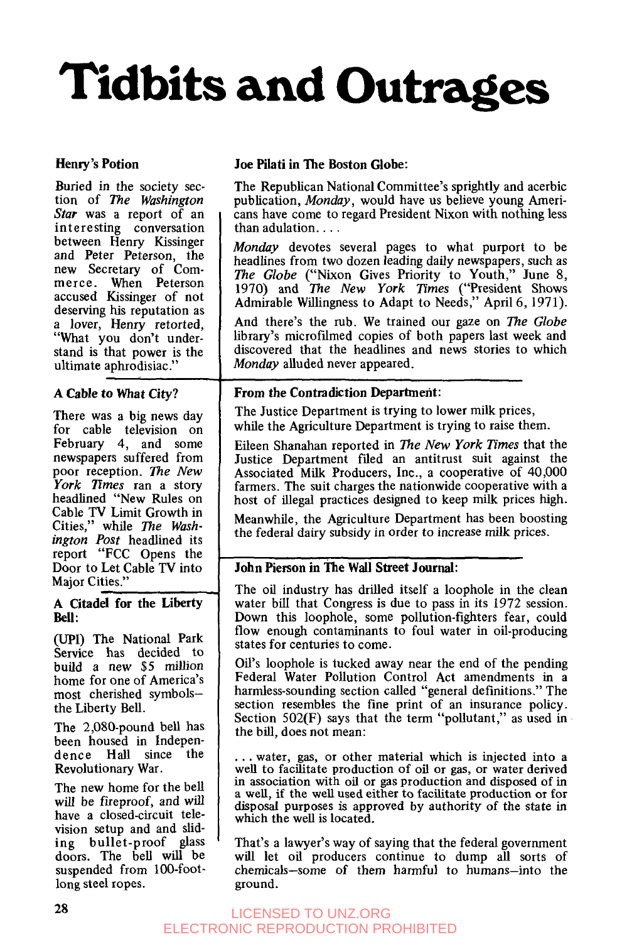# **Tidbits and Outrages**

#### Henry's Potion

Buried in the society section of *The Washington Star* was a report of an interesting conversation between Henry Kissinger and Peter Peterson, the new Secretary of Commerce. When Peterson accused Kissinger of not deserving his reputation as a lover, Henry retorted, "What you don't understand is that power is the ultimate aphrodisiac."

#### **A** Cable to What **City?**

There was a big news day for cable television on February 4, and some newspapers suffered from poor reception. *The New*  York Times ran a story headlined "New Rules on Cable TV Limit Growth in Cities," while The Wash*ington Post* headlined its report "FCC Opens the Door to Let Cable TV into Maior Cities."

#### **A** Citadel **for** the Liberty **Bell** :

**(UPI)** The National Park Service has decided to build a new \$5 million home for one of America's most cherished symbolsthe Liberty Bell.

The 2,080-pound bell has been housed in Independence **Hall** since the Revolutionary War.

The new home for the bell will be fireproof, and will have a closed-circuit television setup and and sliding bullet-proof glass doors. The bell will be suspended from 100-footlong steel ropes.

#### **Joe** Pilati in The Boston **Globe:**

The Republican National Committee's sprightly and acerbic publication, *Monday,* would have us believe young Americans have come to regard President Nixon with nothing less than adulation. . . .

*Monday* devotes several pages to what purport to be headlines from two dozen leading daily newspapers, such as *The Globe* ("Nixon Gives Priority to Youth," June 8, 1970) and *The New York rimes* ("President Shows Admirable Willingness to Adapt to Needs," April 6,1971).

And there's the rub. We trained our gaze on *The Globe*  library's microfilmed copies of both papers last week and discovered that the headlines and news stories to which *Monday* alluded never appeared.

#### **From** the Contradiction Department:

The Justice Department is trying to lower milk prices, while the Agriculture Department is trying to raise them.

Eileen Shanahan reported in *The New York Times* that the Justice Department filed an antitrust suit against the Associated Milk Producers, Inc., a cooperative of 40,000 farmers. The suit charges the nationwide cooperative with a host of illegal practices designed to keep milk prices high.

Meanwhile, the Agriculture Department has been boosting the federal dairy subsidy in order to increase milk prices.

#### John Pierson in The **Wall** Street **Journal:**

The oil industry has drilled itself a loophole in the clean water bill that Congress is due to pass in its 1972 session. Down this loophole, some pollution-fighters fear, could flow enough contaminants to foul water in oil-producing states for centuries to come.

Oil's loophole is tucked away near the end of the pending Federal Water Pollution Control Act amendments in a harmless-sounding section called "general definitions." The section resembles the fine print of an insurance policy. Section 502(F) says that the term "pollutant," as used in the bill, does not mean:

. . . water, gas, or other material which is injected into a well to facilitate production of oil or gas, or water derived in association with oil or gas production and disposed of in **a** well, if the well used either to facilitate production or for disposal purposes is approved by authority **of** the state in which the well is located.

That's a lawyer's way **of** saying that the federal government will let oil producers continue to dump all sorts of chemicals-some of them harmful to humans-into the ground.

#### LICENSED TO UNZ.ORG ELECTRONIC REPRODUCTION PROHIBITED